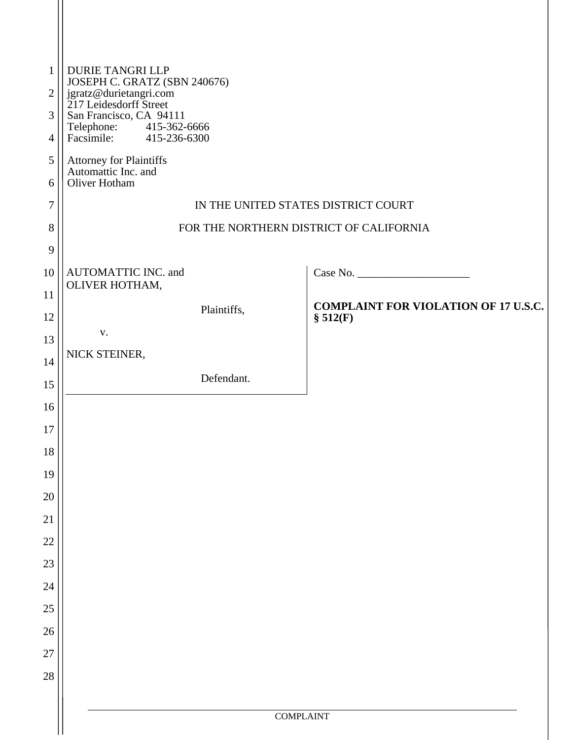| $\mathbf{1}$<br>$\overline{2}$ | <b>DURIE TANGRI LLP</b><br>JOSEPH C. GRATZ (SBN 240676)<br>jgratz@durietangri.com<br>217 Leidesdorff Street |  |  |  |  |
|--------------------------------|-------------------------------------------------------------------------------------------------------------|--|--|--|--|
| 3                              | San Francisco, CA 94111                                                                                     |  |  |  |  |
| $\overline{4}$                 | Telephone: 415-362-6666<br>Facsimile: 415-236-6300                                                          |  |  |  |  |
| 5<br>6                         | Attorney for Plaintiffs<br>Automattic Inc. and<br>Oliver Hotham                                             |  |  |  |  |
| $\tau$                         | IN THE UNITED STATES DISTRICT COURT                                                                         |  |  |  |  |
| 8                              | FOR THE NORTHERN DISTRICT OF CALIFORNIA                                                                     |  |  |  |  |
| 9                              |                                                                                                             |  |  |  |  |
| 10                             | Case No.<br>AUTOMATTIC INC. and                                                                             |  |  |  |  |
| 11                             | OLIVER HOTHAM,<br><b>COMPLAINT FOR VIOLATION OF 17 U.S.C.</b>                                               |  |  |  |  |
| 12                             | Plaintiffs,<br>\$512(F)                                                                                     |  |  |  |  |
| 13                             | ${\bf V}$ .<br>NICK STEINER,                                                                                |  |  |  |  |
| 14                             |                                                                                                             |  |  |  |  |
| 15                             | Defendant.                                                                                                  |  |  |  |  |
| 16                             |                                                                                                             |  |  |  |  |
| 17                             |                                                                                                             |  |  |  |  |
| 18                             |                                                                                                             |  |  |  |  |
| 19<br>$20\,$                   |                                                                                                             |  |  |  |  |
| 21                             |                                                                                                             |  |  |  |  |
| $22\,$                         |                                                                                                             |  |  |  |  |
| 23                             |                                                                                                             |  |  |  |  |
| 24                             |                                                                                                             |  |  |  |  |
| $25\,$                         |                                                                                                             |  |  |  |  |
| 26                             |                                                                                                             |  |  |  |  |
| $27\,$                         |                                                                                                             |  |  |  |  |
| 28                             |                                                                                                             |  |  |  |  |
|                                |                                                                                                             |  |  |  |  |
|                                | <b>COMPLAINT</b>                                                                                            |  |  |  |  |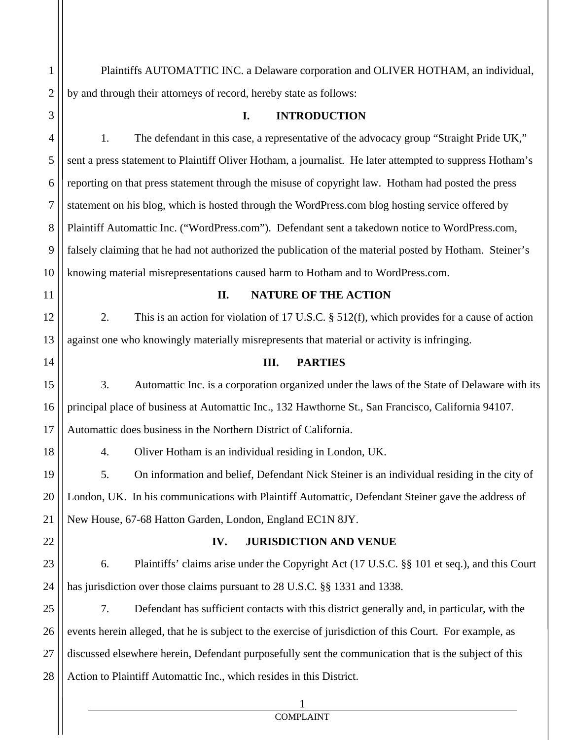Plaintiffs AUTOMATTIC INC. a Delaware corporation and OLIVER HOTHAM, an individual, by and through their attorneys of record, hereby state as follows:

1

2

3

4

5

6

7

8

9

10

11

12

13

14

15

16

17

18

## **I. INTRODUCTION**

1. The defendant in this case, a representative of the advocacy group "Straight Pride UK," sent a press statement to Plaintiff Oliver Hotham, a journalist. He later attempted to suppress Hotham's reporting on that press statement through the misuse of copyright law. Hotham had posted the press statement on his blog, which is hosted through the WordPress.com blog hosting service offered by Plaintiff Automattic Inc. ("WordPress.com"). Defendant sent a takedown notice to WordPress.com, falsely claiming that he had not authorized the publication of the material posted by Hotham. Steiner's knowing material misrepresentations caused harm to Hotham and to WordPress.com.

## **II. NATURE OF THE ACTION**

2. This is an action for violation of 17 U.S.C. § 512(f), which provides for a cause of action against one who knowingly materially misrepresents that material or activity is infringing.

## **III. PARTIES**

3. Automattic Inc. is a corporation organized under the laws of the State of Delaware with its principal place of business at Automattic Inc., 132 Hawthorne St., San Francisco, California 94107. Automattic does business in the Northern District of California.

4. Oliver Hotham is an individual residing in London, UK.

1

19 20 21 5. On information and belief, Defendant Nick Steiner is an individual residing in the city of London, UK. In his communications with Plaintiff Automattic, Defendant Steiner gave the address of New House, 67-68 Hatton Garden, London, England EC1N 8JY.

22

#### **IV. JURISDICTION AND VENUE**

23 24 6. Plaintiffs' claims arise under the Copyright Act (17 U.S.C. §§ 101 et seq.), and this Court has jurisdiction over those claims pursuant to 28 U.S.C. §§ 1331 and 1338.

25 26 27 28 7. Defendant has sufficient contacts with this district generally and, in particular, with the events herein alleged, that he is subject to the exercise of jurisdiction of this Court. For example, as discussed elsewhere herein, Defendant purposefully sent the communication that is the subject of this Action to Plaintiff Automattic Inc., which resides in this District.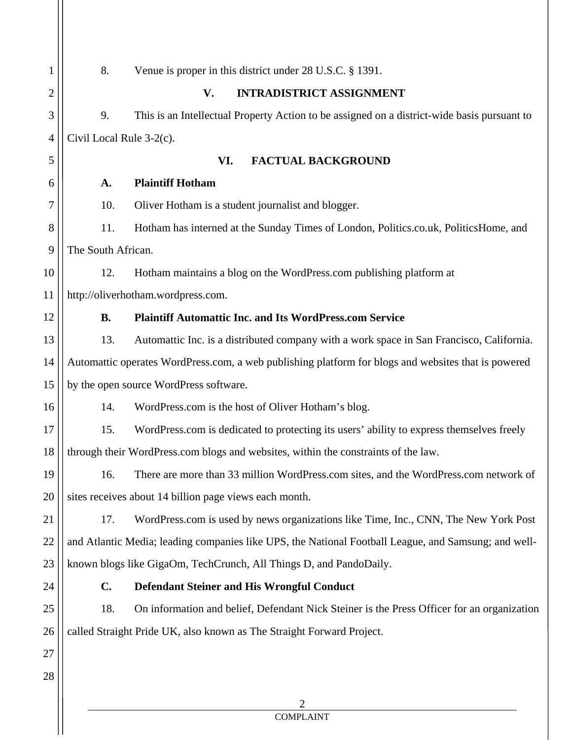| $\mathbf{1}$   | 8.<br>Venue is proper in this district under 28 U.S.C. § 1391.                                       |                                                                                             |  |
|----------------|------------------------------------------------------------------------------------------------------|---------------------------------------------------------------------------------------------|--|
| $\overline{2}$ | V.<br><b>INTRADISTRICT ASSIGNMENT</b>                                                                |                                                                                             |  |
| 3              | 9.                                                                                                   | This is an Intellectual Property Action to be assigned on a district-wide basis pursuant to |  |
| 4              | Civil Local Rule 3-2(c).                                                                             |                                                                                             |  |
| 5              | VI.<br><b>FACTUAL BACKGROUND</b>                                                                     |                                                                                             |  |
| 6              | A.                                                                                                   | <b>Plaintiff Hotham</b>                                                                     |  |
| 7              | 10.                                                                                                  | Oliver Hotham is a student journalist and blogger.                                          |  |
| 8              | 11.                                                                                                  | Hotham has interned at the Sunday Times of London, Politics.co.uk, PoliticsHome, and        |  |
| 9              | The South African.                                                                                   |                                                                                             |  |
| 10             | 12.                                                                                                  | Hotham maintains a blog on the WordPress.com publishing platform at                         |  |
| 11             | http://oliverhotham.wordpress.com.                                                                   |                                                                                             |  |
| 12             | <b>B.</b>                                                                                            | <b>Plaintiff Automattic Inc. and Its WordPress.com Service</b>                              |  |
| 13             | 13.                                                                                                  | Automattic Inc. is a distributed company with a work space in San Francisco, California.    |  |
| 14             | Automattic operates WordPress.com, a web publishing platform for blogs and websites that is powered  |                                                                                             |  |
| 15             | by the open source WordPress software.                                                               |                                                                                             |  |
| 16             | 14.                                                                                                  | WordPress.com is the host of Oliver Hotham's blog.                                          |  |
| 17             | 15.                                                                                                  | WordPress.com is dedicated to protecting its users' ability to express themselves freely    |  |
| 18             | through their WordPress.com blogs and websites, within the constraints of the law.                   |                                                                                             |  |
| 19             | 16.                                                                                                  | There are more than 33 million WordPress.com sites, and the WordPress.com network of        |  |
| 20             | sites receives about 14 billion page views each month.                                               |                                                                                             |  |
| 21             | 17.                                                                                                  | WordPress.com is used by news organizations like Time, Inc., CNN, The New York Post         |  |
| 22             | and Atlantic Media; leading companies like UPS, the National Football League, and Samsung; and well- |                                                                                             |  |
| 23             | known blogs like GigaOm, TechCrunch, All Things D, and PandoDaily.                                   |                                                                                             |  |
| 24             | $C_{\bullet}$                                                                                        | <b>Defendant Steiner and His Wrongful Conduct</b>                                           |  |
| 25             | 18.                                                                                                  | On information and belief, Defendant Nick Steiner is the Press Officer for an organization  |  |
| 26             | called Straight Pride UK, also known as The Straight Forward Project.                                |                                                                                             |  |
| 27             |                                                                                                      |                                                                                             |  |
| 28             |                                                                                                      |                                                                                             |  |
|                |                                                                                                      | 2                                                                                           |  |

## COMPLAINT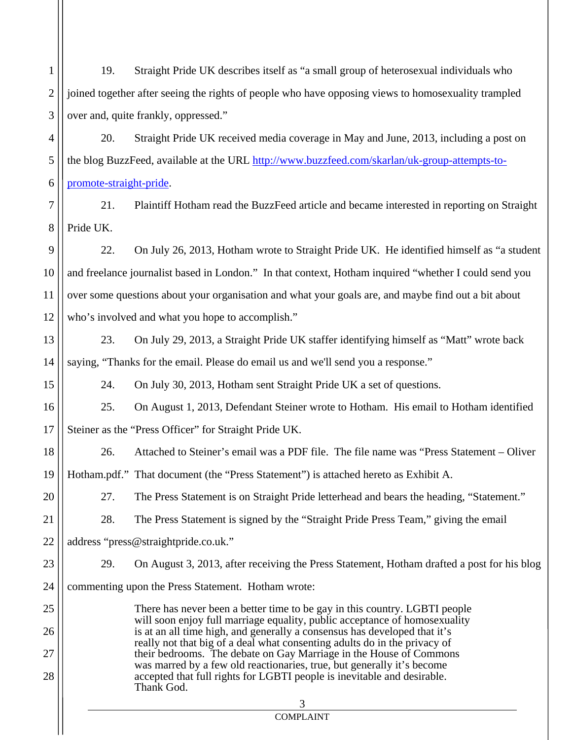1 2 3 4 5 6 7 8 9 10 11 12 13 14 15 16 17 18 19 20 21 22 19. Straight Pride UK describes itself as "a small group of heterosexual individuals who joined together after seeing the rights of people who have opposing views to homosexuality trampled over and, quite frankly, oppressed." 20. Straight Pride UK received media coverage in May and June, 2013, including a post on the blog BuzzFeed, available at the URL http://www.buzzfeed.com/skarlan/uk-group-attempts-topromote-straight-pride. 21. Plaintiff Hotham read the BuzzFeed article and became interested in reporting on Straight Pride UK. 22. On July 26, 2013, Hotham wrote to Straight Pride UK. He identified himself as "a student and freelance journalist based in London." In that context, Hotham inquired "whether I could send you over some questions about your organisation and what your goals are, and maybe find out a bit about who's involved and what you hope to accomplish." 23. On July 29, 2013, a Straight Pride UK staffer identifying himself as "Matt" wrote back saying, "Thanks for the email. Please do email us and we'll send you a response." 24. On July 30, 2013, Hotham sent Straight Pride UK a set of questions. 25. On August 1, 2013, Defendant Steiner wrote to Hotham. His email to Hotham identified Steiner as the "Press Officer" for Straight Pride UK. 26. Attached to Steiner's email was a PDF file. The file name was "Press Statement – Oliver Hotham.pdf." That document (the "Press Statement") is attached hereto as Exhibit A. 27. The Press Statement is on Straight Pride letterhead and bears the heading, "Statement." 28. The Press Statement is signed by the "Straight Pride Press Team," giving the email address "press@straightpride.co.uk."

29. On August 3, 2013, after receiving the Press Statement, Hotham drafted a post for his blog

24 commenting upon the Press Statement. Hotham wrote:

23

25

26

27

28

 3 There has never been a better time to be gay in this country. LGBTI people will soon enjoy full marriage equality, public acceptance of homosexuality is at an all time high, and generally a consensus has developed that it's really not that big of a deal what consenting adults do in the privacy of their bedrooms. The debate on Gay Marriage in the House of Commons was marred by a few old reactionaries, true, but generally it's become accepted that full rights for LGBTI people is inevitable and desirable. Thank God.

# COMPLAINT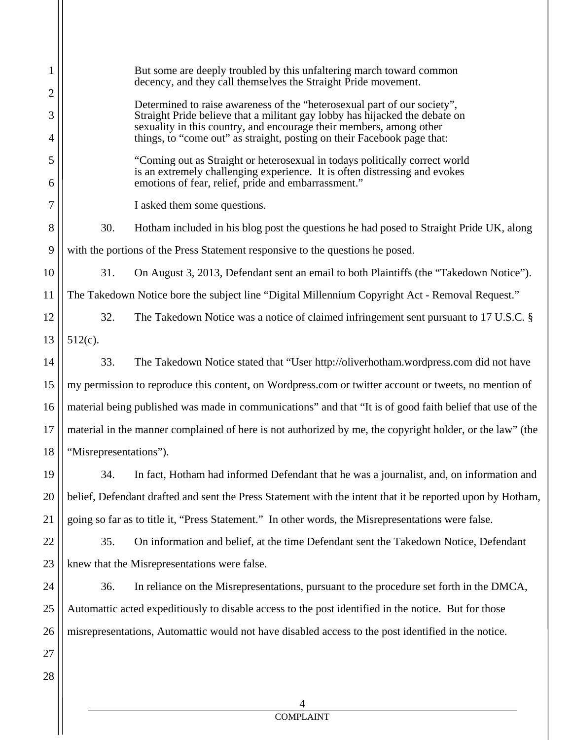1 2 3 4 5 6 7 8 9 10 11 12 13 14 15 16 17 18 19 20 21 22 23 24 25 26 27 28 4 But some are deeply troubled by this unfaltering march toward common decency, and they call themselves the Straight Pride movement. Determined to raise awareness of the "heterosexual part of our society", Straight Pride believe that a militant gay lobby has hijacked the debate on sexuality in this country, and encourage their members, among other things, to "come out" as straight, posting on their Facebook page that: "Coming out as Straight or heterosexual in todays politically correct world is an extremely challenging experience. It is often distressing and evokes emotions of fear, relief, pride and embarrassment." I asked them some questions. 30. Hotham included in his blog post the questions he had posed to Straight Pride UK, along with the portions of the Press Statement responsive to the questions he posed. 31. On August 3, 2013, Defendant sent an email to both Plaintiffs (the "Takedown Notice"). The Takedown Notice bore the subject line "Digital Millennium Copyright Act - Removal Request." 32. The Takedown Notice was a notice of claimed infringement sent pursuant to 17 U.S.C. § 512(c). 33. The Takedown Notice stated that "User http://oliverhotham.wordpress.com did not have my permission to reproduce this content, on Wordpress.com or twitter account or tweets, no mention of material being published was made in communications" and that "It is of good faith belief that use of the material in the manner complained of here is not authorized by me, the copyright holder, or the law" (the "Misrepresentations"). 34. In fact, Hotham had informed Defendant that he was a journalist, and, on information and belief, Defendant drafted and sent the Press Statement with the intent that it be reported upon by Hotham, going so far as to title it, "Press Statement." In other words, the Misrepresentations were false. 35. On information and belief, at the time Defendant sent the Takedown Notice, Defendant knew that the Misrepresentations were false. 36. In reliance on the Misrepresentations, pursuant to the procedure set forth in the DMCA, Automattic acted expeditiously to disable access to the post identified in the notice. But for those misrepresentations, Automattic would not have disabled access to the post identified in the notice.

COMPLAINT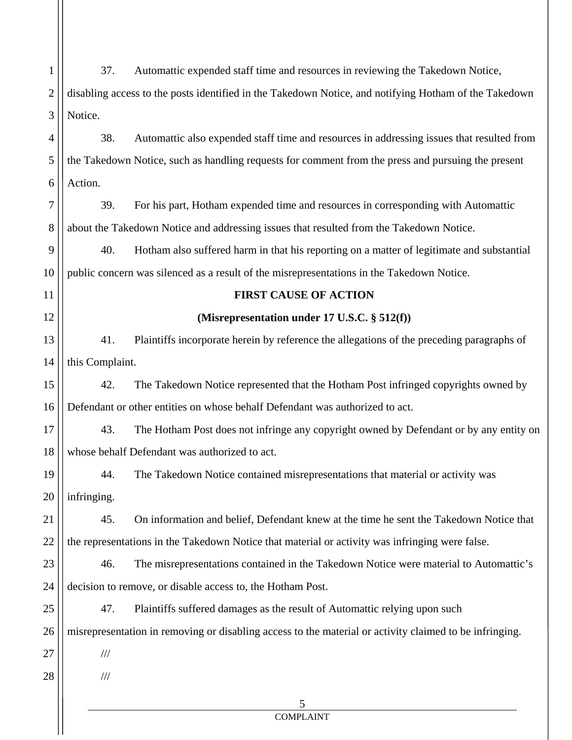| 1              | Automattic expended staff time and resources in reviewing the Takedown Notice,<br>37.                   |  |  |
|----------------|---------------------------------------------------------------------------------------------------------|--|--|
| $\overline{2}$ | disabling access to the posts identified in the Takedown Notice, and notifying Hotham of the Takedown   |  |  |
| 3              | Notice.                                                                                                 |  |  |
| $\overline{4}$ | 38.<br>Automattic also expended staff time and resources in addressing issues that resulted from        |  |  |
| 5              | the Takedown Notice, such as handling requests for comment from the press and pursuing the present      |  |  |
| 6              | Action.                                                                                                 |  |  |
| 7              | 39.<br>For his part, Hotham expended time and resources in corresponding with Automattic                |  |  |
| 8              | about the Takedown Notice and addressing issues that resulted from the Takedown Notice.                 |  |  |
| 9              | 40.<br>Hotham also suffered harm in that his reporting on a matter of legitimate and substantial        |  |  |
| 10             | public concern was silenced as a result of the misrepresentations in the Takedown Notice.               |  |  |
| 11             | <b>FIRST CAUSE OF ACTION</b>                                                                            |  |  |
| 12             | (Misrepresentation under 17 U.S.C. § 512(f))                                                            |  |  |
| 13             | 41.<br>Plaintiffs incorporate herein by reference the allegations of the preceding paragraphs of        |  |  |
| 14             | this Complaint.                                                                                         |  |  |
| 15             | 42.<br>The Takedown Notice represented that the Hotham Post infringed copyrights owned by               |  |  |
| 16             | Defendant or other entities on whose behalf Defendant was authorized to act.                            |  |  |
| 17             | 43.<br>The Hotham Post does not infringe any copyright owned by Defendant or by any entity on           |  |  |
| 18             | whose behalf Defendant was authorized to act.                                                           |  |  |
| 19             | The Takedown Notice contained misrepresentations that material or activity was<br>44.                   |  |  |
| 20             | infringing.                                                                                             |  |  |
| 21             | On information and belief, Defendant knew at the time he sent the Takedown Notice that<br>45.           |  |  |
| 22             | the representations in the Takedown Notice that material or activity was infringing were false.         |  |  |
| 23             | 46.<br>The misrepresentations contained in the Takedown Notice were material to Automattic's            |  |  |
| 24             | decision to remove, or disable access to, the Hotham Post.                                              |  |  |
| 25             | 47.<br>Plaintiffs suffered damages as the result of Automattic relying upon such                        |  |  |
| 26             | misrepresentation in removing or disabling access to the material or activity claimed to be infringing. |  |  |
| 27             | $\frac{1}{1}$                                                                                           |  |  |
| 28             | $/ \! / \! /$                                                                                           |  |  |
|                | 5                                                                                                       |  |  |

# COMPLAINT